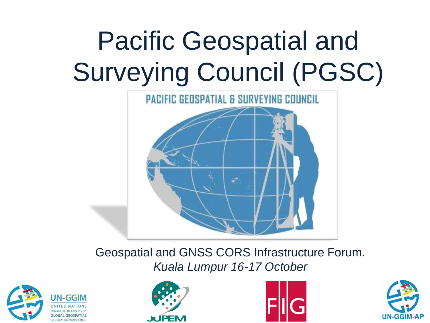# Pacific Geospatial and Surveying Council (PGSC)



Geospatial and GNSS CORS Infrastructure Forum. *Kuala Lumpur 16-17 October*







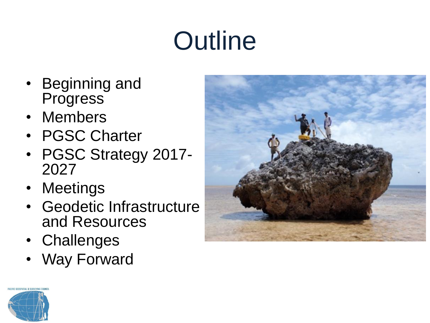# **Outline**

- Beginning and **Progress**
- Members
- PGSC Charter
- PGSC Strategy 2017- 2027
- Meetings
- **Geodetic Infrastructure** and Resources
- Challenges
- Way Forward



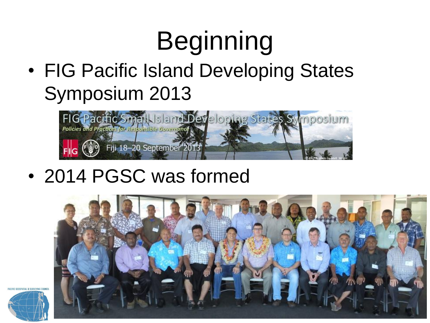# Beginning

• FIG Pacific Island Developing States Symposium 2013



• 2014 PGSC was formed



**FIC CERSPATIAL & SUPVEYING CRIL** 

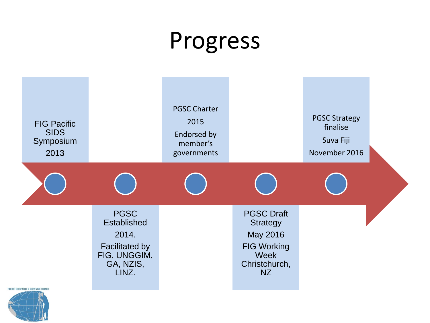#### Progress



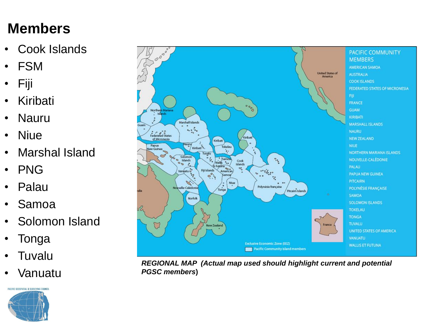#### **Members**

- Cook Islands
- FSM
- Fiji
- **Kiribati**
- Nauru
- Niue
- Marshal Island
- PNG
- Palau
- Samoa
- Solomon Island
- **Tonga**
- **Tuvalu**
- Vanuatu





*REGIONAL MAP (Actual map used should highlight current and potential PGSC members***)**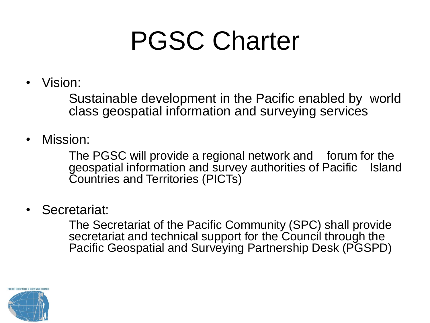#### PGSC Charter

• Vision:

Sustainable development in the Pacific enabled by world class geospatial information and surveying services

• Mission:

The PGSC will provide a regional network and forum for the geospatial information and survey authorities of Pacific Island Countries and Territories (PICTs)

• Secretariat:

The Secretariat of the Pacific Community (SPC) shall provide secretariat and technical support for the Council through the Pacific Geospatial and Surveying Partnership Desk (PGSPD)

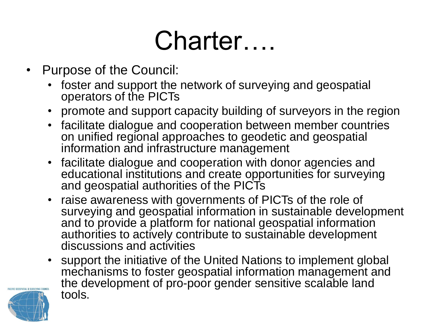### Charter….

- Purpose of the Council:
	- foster and support the network of surveying and geospatial operators of the PICTs
	- promote and support capacity building of surveyors in the region
	- facilitate dialogue and cooperation between member countries on unified regional approaches to geodetic and geospatial information and infrastructure management
	- facilitate dialogue and cooperation with donor agencies and educational institutions and create opportunities for surveying and geospatial authorities of the PICTs
	- raise awareness with governments of PICTs of the role of surveying and geospatial information in sustainable development and to provide a platform for national geospatial information authorities to actively contribute to sustainable development discussions and activities
	- support the initiative of the United Nations to implement global mechanisms to foster geospatial information management and the development of pro-poor gender sensitive scalable land tools.

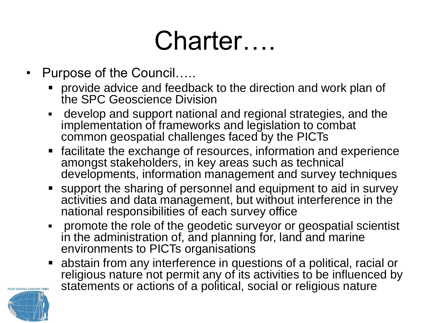### Charter….

- Purpose of the Council…..
	- **Perovide advice and feedback to the direction and work plan of** the SPC Geoscience Division
	- develop and support national and regional strategies, and the implementation of frameworks and legislation to combat common geospatial challenges faced by the PICTs
	- facilitate the exchange of resources, information and experience amongst stakeholders, in key areas such as technical developments, information management and survey techniques
	- support the sharing of personnel and equipment to aid in survey activities and data management, but without interference in the national responsibilities of each survey office
	- promote the role of the geodetic surveyor or geospatial scientist in the administration of, and planning for, land and marine environments to PICTs organisations
	- abstain from any interference in questions of a political, racial or religious nature not permit any of its activities to be influenced by statements or actions of a political, social or religious nature

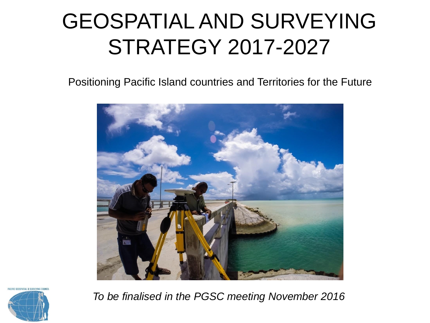#### GEOSPATIAL AND SURVEYING STRATEGY 2017-2027

Positioning Pacific Island countries and Territories for the Future



*To be finalised in the PGSC meeting November 2016*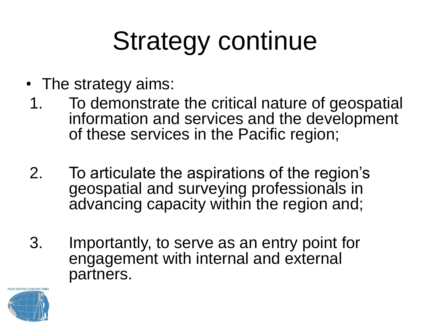## Strategy continue

- The strategy aims:
- 1. To demonstrate the critical nature of geospatial information and services and the development of these services in the Pacific region;
- 2. To articulate the aspirations of the region's geospatial and surveying professionals in advancing capacity within the region and;
- 3. Importantly, to serve as an entry point for engagement with internal and external partners.

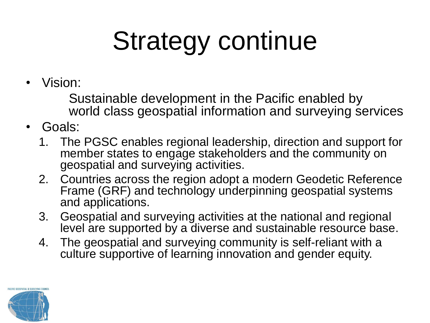# Strategy continue

• Vision:

Sustainable development in the Pacific enabled by world class geospatial information and surveying services

- Goals:
	- 1. The PGSC enables regional leadership, direction and support for member states to engage stakeholders and the community on geospatial and surveying activities.
	- 2. Countries across the region adopt a modern Geodetic Reference Frame (GRF) and technology underpinning geospatial systems and applications.
	- 3. Geospatial and surveying activities at the national and regional level are supported by a diverse and sustainable resource base.
	- 4. The geospatial and surveying community is self-reliant with a culture supportive of learning innovation and gender equity.

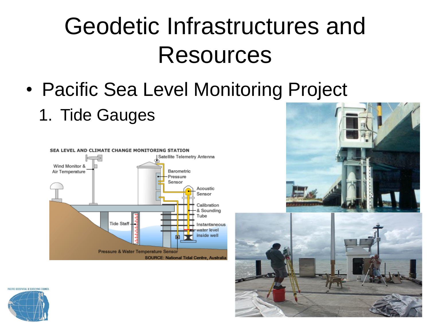#### Geodetic Infrastructures and Resources

- Pacific Sea Level Monitoring Project
	- 1. Tide Gauges





PACIFIC GEOSPATIAL & SURVEYING COUNCIL

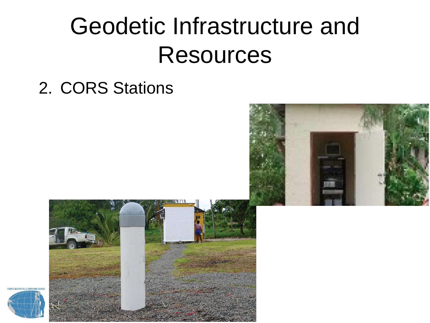#### Geodetic Infrastructure and **Resources**

2. CORS Stations





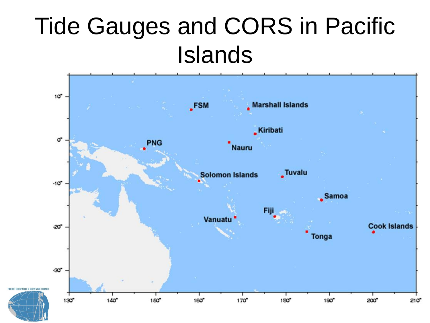#### Tide Gauges and CORS in Pacific Islands

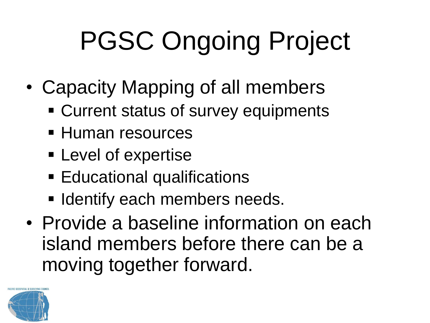# PGSC Ongoing Project

- Capacity Mapping of all members
	- Current status of survey equipments
	- **Human resources**
	- **Expertise**
	- **Educational qualifications**
	- **I Identify each members needs.**
- Provide a baseline information on each island members before there can be a moving together forward.

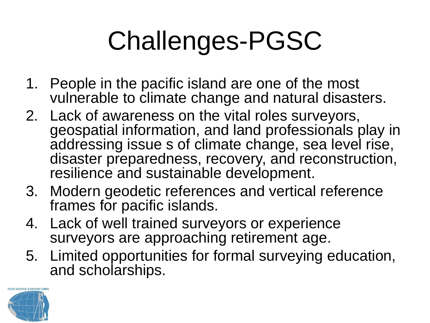# Challenges-PGSC

- 1. People in the pacific island are one of the most vulnerable to climate change and natural disasters.
- 2. Lack of awareness on the vital roles surveyors, geospatial information, and land professionals play in addressing issue s of climate change, sea level rise, disaster preparedness, recovery, and reconstruction, resilience and sustainable development.
- 3. Modern geodetic references and vertical reference frames for pacific islands.
- 4. Lack of well trained surveyors or experience surveyors are approaching retirement age.
- 5. Limited opportunities for formal surveying education, and scholarships.

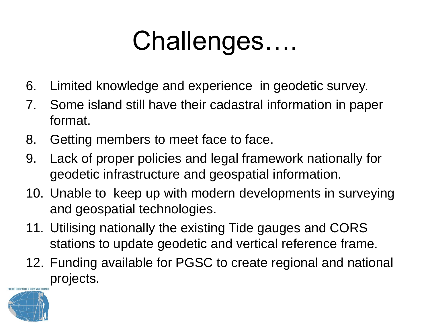### Challenges….

- 6. Limited knowledge and experience in geodetic survey.
- 7. Some island still have their cadastral information in paper format.
- 8. Getting members to meet face to face.
- 9. Lack of proper policies and legal framework nationally for geodetic infrastructure and geospatial information.
- 10. Unable to keep up with modern developments in surveying and geospatial technologies.
- 11. Utilising nationally the existing Tide gauges and CORS stations to update geodetic and vertical reference frame.
- 12. Funding available for PGSC to create regional and national projects.

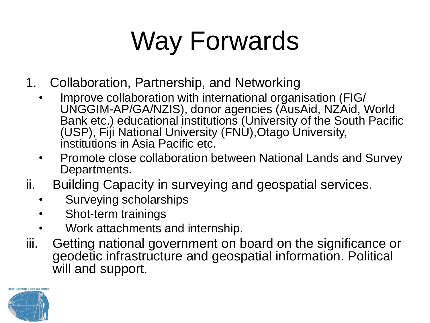# Way Forwards

- 1. Collaboration, Partnership, and Networking
	- Improve collaboration with international organisation (FIG/ UNGGIM-AP/GA/NZIS), donor agencies (AusAid, NZAid, World Bank etc.) educational institutions (University of the South Pacific (USP), Fiji National University (FNU),Otago University, institutions in Asia Pacific etc.
	- Promote close collaboration between National Lands and Survey Departments.
- ii. Building Capacity in surveying and geospatial services.
	- Surveying scholarships
	- Shot-term trainings
	- Work attachments and internship.
- iii. Getting national government on board on the significance or geodetic infrastructure and geospatial information. Political will and support.

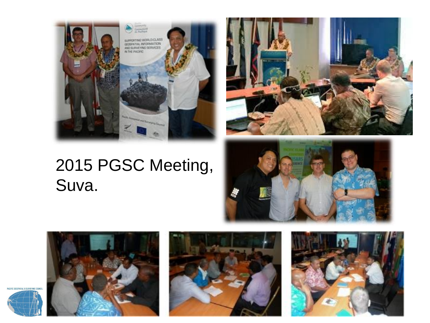

#### 2015 PGSC Meeting, Suva.







PACIFIC GEOSPATIAL & SURVEYING COUR